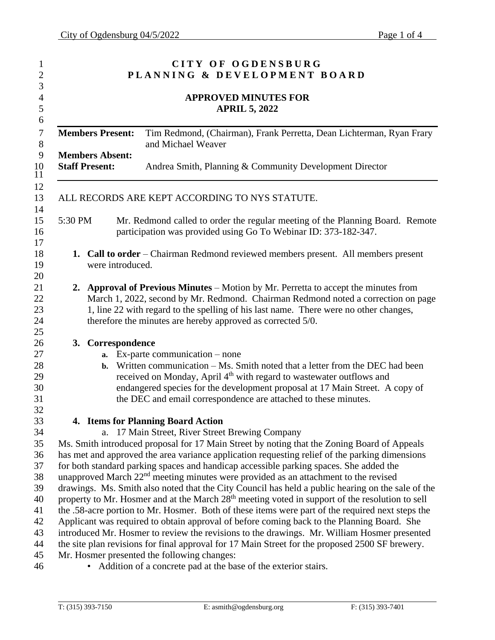| CITY OF OGDENSBURG<br>PLANNING & DEVELOPMENT BOARD<br><b>APPROVED MINUTES FOR</b><br><b>APRIL 5, 2022</b> |                                                                                                                                                                                                                                                                                                                                  |  |  |  |
|-----------------------------------------------------------------------------------------------------------|----------------------------------------------------------------------------------------------------------------------------------------------------------------------------------------------------------------------------------------------------------------------------------------------------------------------------------|--|--|--|
|                                                                                                           |                                                                                                                                                                                                                                                                                                                                  |  |  |  |
| <b>Members Absent:</b><br><b>Staff Present:</b>                                                           | Andrea Smith, Planning & Community Development Director                                                                                                                                                                                                                                                                          |  |  |  |
|                                                                                                           | ALL RECORDS ARE KEPT ACCORDING TO NYS STATUTE.                                                                                                                                                                                                                                                                                   |  |  |  |
| 5:30 PM                                                                                                   | Mr. Redmond called to order the regular meeting of the Planning Board. Remote<br>participation was provided using Go To Webinar ID: 373-182-347.                                                                                                                                                                                 |  |  |  |
| were introduced.                                                                                          | <b>1. Call to order</b> – Chairman Redmond reviewed members present. All members present                                                                                                                                                                                                                                         |  |  |  |
|                                                                                                           | 2. Approval of Previous Minutes – Motion by Mr. Perretta to accept the minutes from<br>March 1, 2022, second by Mr. Redmond. Chairman Redmond noted a correction on page<br>1, line 22 with regard to the spelling of his last name. There were no other changes,<br>therefore the minutes are hereby approved as corrected 5/0. |  |  |  |
| 3. Correspondence                                                                                         |                                                                                                                                                                                                                                                                                                                                  |  |  |  |
| a.                                                                                                        | $Ex$ -parte communication – none                                                                                                                                                                                                                                                                                                 |  |  |  |
| $\mathbf{b}$ .                                                                                            | Written communication – Ms. Smith noted that a letter from the DEC had been<br>received on Monday, April 4 <sup>th</sup> with regard to wastewater outflows and<br>endangered species for the development proposal at 17 Main Street. A copy of<br>the DEC and email correspondence are attached to these minutes.               |  |  |  |
|                                                                                                           |                                                                                                                                                                                                                                                                                                                                  |  |  |  |
|                                                                                                           | 4. Items for Planning Board Action                                                                                                                                                                                                                                                                                               |  |  |  |
| a.                                                                                                        | 17 Main Street, River Street Brewing Company                                                                                                                                                                                                                                                                                     |  |  |  |
|                                                                                                           | Ms. Smith introduced proposal for 17 Main Street by noting that the Zoning Board of Appeals                                                                                                                                                                                                                                      |  |  |  |
|                                                                                                           | has met and approved the area variance application requesting relief of the parking dimensions<br>for both standard parking spaces and handicap accessible parking spaces. She added the                                                                                                                                         |  |  |  |
|                                                                                                           | unapproved March 22 <sup>nd</sup> meeting minutes were provided as an attachment to the revised                                                                                                                                                                                                                                  |  |  |  |
|                                                                                                           | drawings. Ms. Smith also noted that the City Council has held a public hearing on the sale of the                                                                                                                                                                                                                                |  |  |  |
|                                                                                                           | property to Mr. Hosmer and at the March 28 <sup>th</sup> meeting voted in support of the resolution to sell                                                                                                                                                                                                                      |  |  |  |
|                                                                                                           | the .58-acre portion to Mr. Hosmer. Both of these items were part of the required next steps the                                                                                                                                                                                                                                 |  |  |  |
|                                                                                                           | Applicant was required to obtain approval of before coming back to the Planning Board. She                                                                                                                                                                                                                                       |  |  |  |
|                                                                                                           | introduced Mr. Hosmer to review the revisions to the drawings. Mr. William Hosmer presented                                                                                                                                                                                                                                      |  |  |  |
|                                                                                                           | the site plan revisions for final approval for 17 Main Street for the proposed 2500 SF brewery.                                                                                                                                                                                                                                  |  |  |  |
|                                                                                                           | Mr. Hosmer presented the following changes:                                                                                                                                                                                                                                                                                      |  |  |  |
|                                                                                                           | Addition of a concrete pad at the base of the exterior stairs.                                                                                                                                                                                                                                                                   |  |  |  |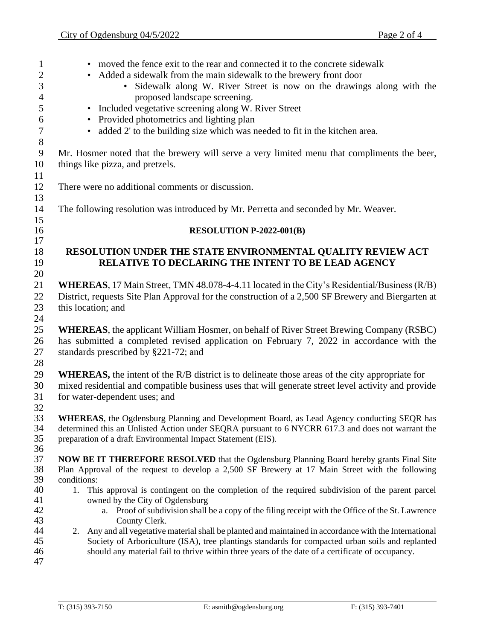• moved the fence exit to the rear and connected it to the concrete sidewalk 2 • Added a sidewalk from the main sidewalk to the brewery front door • Sidewalk along W. River Street is now on the drawings along with the proposed landscape screening. • Included vegetative screening along W. River Street • Provided photometrics and lighting plan • added 2' to the building size which was needed to fit in the kitchen area. Mr. Hosmer noted that the brewery will serve a very limited menu that compliments the beer, things like pizza, and pretzels. There were no additional comments or discussion. The following resolution was introduced by Mr. Perretta and seconded by Mr. Weaver. **RESOLUTION P-2022-001(B) RESOLUTION UNDER THE STATE ENVIRONMENTAL QUALITY REVIEW ACT RELATIVE TO DECLARING THE INTENT TO BE LEAD AGENCY WHEREAS**, 17 Main Street, TMN 48.078-4-4.11 located in the City's Residential/Business (R/B) District, requests Site Plan Approval for the construction of a 2,500 SF Brewery and Biergarten at this location; and **WHEREAS**, the applicant William Hosmer, on behalf of River Street Brewing Company (RSBC) has submitted a completed revised application on February 7, 2022 in accordance with the standards prescribed by §221-72; and **WHEREAS,** the intent of the R/B district is to delineate those areas of the city appropriate for mixed residential and compatible business uses that will generate street level activity and provide for water-dependent uses; and 32<br>33 **WHEREAS**, the Ogdensburg Planning and Development Board, as Lead Agency conducting SEQR has determined this an Unlisted Action under SEQRA pursuant to 6 NYCRR 617.3 and does not warrant the preparation of a draft Environmental Impact Statement (EIS). **NOW BE IT THEREFORE RESOLVED** that the Ogdensburg Planning Board hereby grants Final Site Plan Approval of the request to develop a 2,500 SF Brewery at 17 Main Street with the following conditions: 1. This approval is contingent on the completion of the required subdivision of the parent parcel owned by the City of Ogdensburg a. Proof of subdivision shall be a copy of the filing receipt with the Office of the St. Lawrence County Clerk. 2. Any and all vegetative material shall be planted and maintained in accordance with the International Society of Arboriculture (ISA), tree plantings standards for compacted urban soils and replanted should any material fail to thrive within three years of the date of a certificate of occupancy.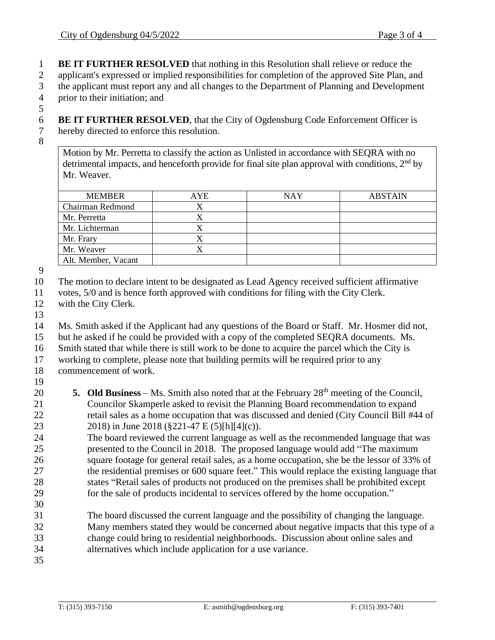**BE IT FURTHER RESOLVED** that nothing in this Resolution shall relieve or reduce the

applicant's expressed or implied responsibilities for completion of the approved Site Plan, and

 the applicant must report any and all changes to the Department of Planning and Development prior to their initiation; and

 **BE IT FURTHER RESOLVED**, that the City of Ogdensburg Code Enforcement Officer is hereby directed to enforce this resolution.

Motion by Mr. Perretta to classify the action as Unlisted in accordance with SEQRA with no detrimental impacts, and henceforth provide for final site plan approval with conditions,  $2<sup>nd</sup>$  by Mr. Weaver.

| <b>MEMBER</b>       | AYE | NAY | <b>ABSTAIN</b> |
|---------------------|-----|-----|----------------|
| Chairman Redmond    |     |     |                |
| Mr. Perretta        |     |     |                |
| Mr. Lichterman      |     |     |                |
| Mr. Frary           |     |     |                |
| Mr. Weaver          |     |     |                |
| Alt. Member, Vacant |     |     |                |

The motion to declare intent to be designated as Lead Agency received sufficient affirmative

votes, 5/0 and is hence forth approved with conditions for filing with the City Clerk.

- with the City Clerk.
- 

Ms. Smith asked if the Applicant had any questions of the Board or Staff. Mr. Hosmer did not,

- but he asked if he could be provided with a copy of the completed SEQRA documents. Ms.
- Smith stated that while there is still work to be done to acquire the parcel which the City is

 working to complete, please note that building permits will be required prior to any commencement of work.

- **5. Old Business** Ms. Smith also noted that at the February 28<sup>th</sup> meeting of the Council, Councilor Skamperle asked to revisit the Planning Board recommendation to expand retail sales as a home occupation that was discussed and denied (City Council Bill #44 of 2018) in June 2018 (§221-47 E (5)[h][4](c)).
- The board reviewed the current language as well as the recommended language that was presented to the Council in 2018. The proposed language would add "The maximum square footage for general retail sales, as a home occupation, she be the lessor of 33% of the residential premises or 600 square feet." This would replace the existing language that states "Retail sales of products not produced on the premises shall be prohibited except for the sale of products incidental to services offered by the home occupation."
- The board discussed the current language and the possibility of changing the language. Many members stated they would be concerned about negative impacts that this type of a change could bring to residential neighborhoods. Discussion about online sales and alternatives which include application for a use variance.
-